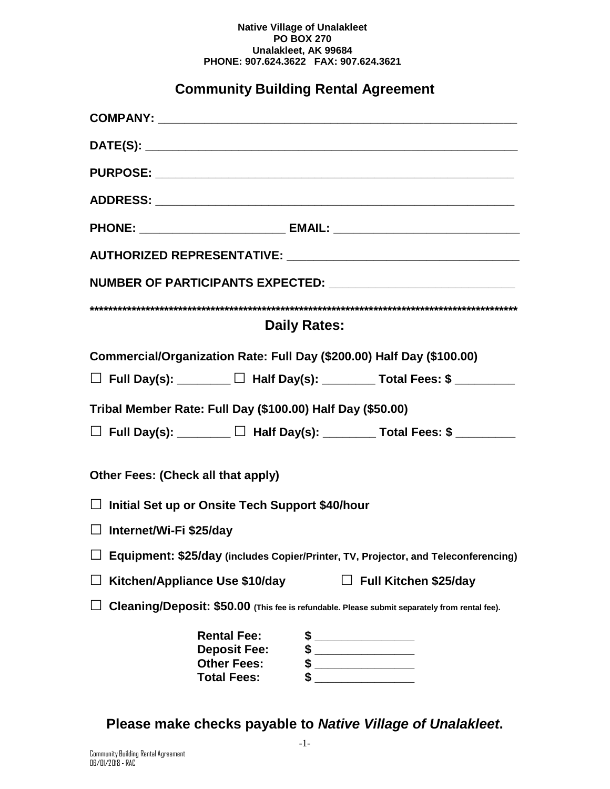#### **Native Village of Unalakleet PO BOX 270 Unalakleet, AK 99684 PHONE: 907.624.3622 FAX: 907.624.3621**

# **Community Building Rental Agreement**

|                                                                                      |                                                                                       | PHONE: _______________________________ EMAIL: __________________________________              |  |
|--------------------------------------------------------------------------------------|---------------------------------------------------------------------------------------|-----------------------------------------------------------------------------------------------|--|
|                                                                                      |                                                                                       |                                                                                               |  |
|                                                                                      |                                                                                       | NUMBER OF PARTICIPANTS EXPECTED: _________________________________                            |  |
|                                                                                      |                                                                                       |                                                                                               |  |
| <b>Daily Rates:</b>                                                                  |                                                                                       |                                                                                               |  |
| Commercial/Organization Rate: Full Day (\$200.00) Half Day (\$100.00)                |                                                                                       |                                                                                               |  |
|                                                                                      |                                                                                       | $\Box$ Full Day(s): ________ $\Box$ Half Day(s): ________ Total Fees: \$ ________             |  |
| Tribal Member Rate: Full Day (\$100.00) Half Day (\$50.00)                           |                                                                                       |                                                                                               |  |
|                                                                                      |                                                                                       | □ Full Day(s): _______ □ Half Day(s): _______ Total Fees: \$ _______                          |  |
|                                                                                      |                                                                                       |                                                                                               |  |
| Other Fees: (Check all that apply)                                                   |                                                                                       |                                                                                               |  |
| □ Initial Set up or Onsite Tech Support \$40/hour                                    |                                                                                       |                                                                                               |  |
| □ Internet/Wi-Fi \$25/day                                                            |                                                                                       |                                                                                               |  |
| □ Equipment: \$25/day (includes Copier/Printer, TV, Projector, and Teleconferencing) |                                                                                       |                                                                                               |  |
| Kitchen/Appliance Use \$10/day<br>$\Box$ Full Kitchen \$25/day                       |                                                                                       |                                                                                               |  |
|                                                                                      |                                                                                       | Cleaning/Deposit: \$50.00 (This fee is refundable. Please submit separately from rental fee). |  |
|                                                                                      | <b>Rental Fee:</b><br><b>Deposit Fee:</b><br><b>Other Fees:</b><br><b>Total Fees:</b> |                                                                                               |  |

**Please make checks payable to** *Native Village of Unalakleet***.**